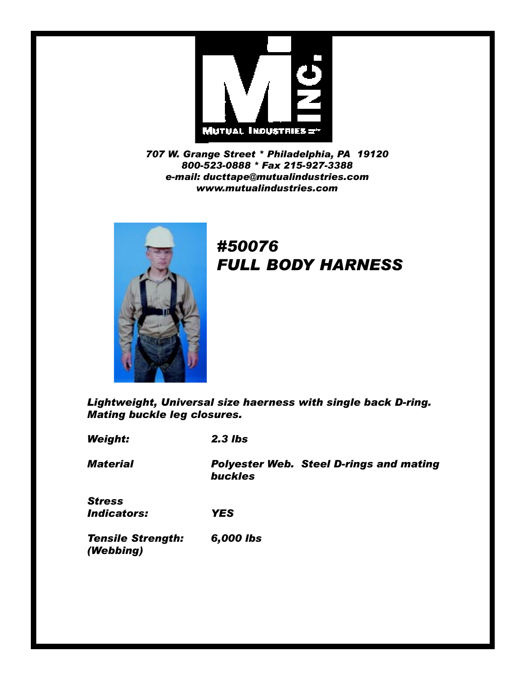

*707 W. Grange Street \* Philadelphia, PA 19120 800-523-0888 \* Fax 215-927-3388 e-mail: ducttape@mutualindustries.com www.mutualindustries.com*



## *#50076 FULL BODY HARNESS*

*Lightweight, Universal size haerness with single back D-ring. Mating buckle leg closures.*

*Weight: 2.3 lbs*

*Material Polyester Web. Steel D-rings and mating buckles*

*Stress Indicators: YES*

*Tensile Strength: 6,000 lbs (Webbing)*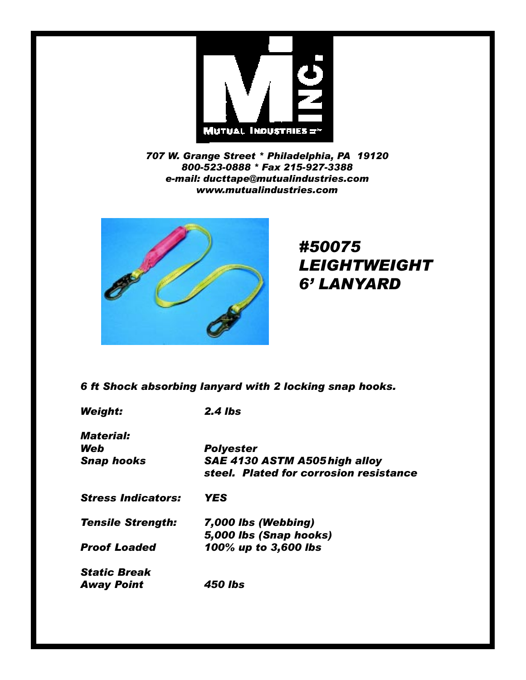

*707 W. Grange Street \* Philadelphia, PA 19120 800-523-0888 \* Fax 215-927-3388 e-mail: ducttape@mutualindustries.com www.mutualindustries.com*



## *#50075 LEIGHTWEIGHT 6' LANYARD*

## *6 ft Shock absorbing lanyard with 2 locking snap hooks.*

*Weight: 2.4 lbs Material: Web Polyester Snap hooks SAE 4130 ASTM A505high alloy steel. Plated for corrosion resistance Stress Indicators: YES Tensile Strength: 7,000 lbs (Webbing) 5,000 lbs (Snap hooks) Proof Loaded 100% up to 3,600 lbs Static Break Away Point 450 lbs*